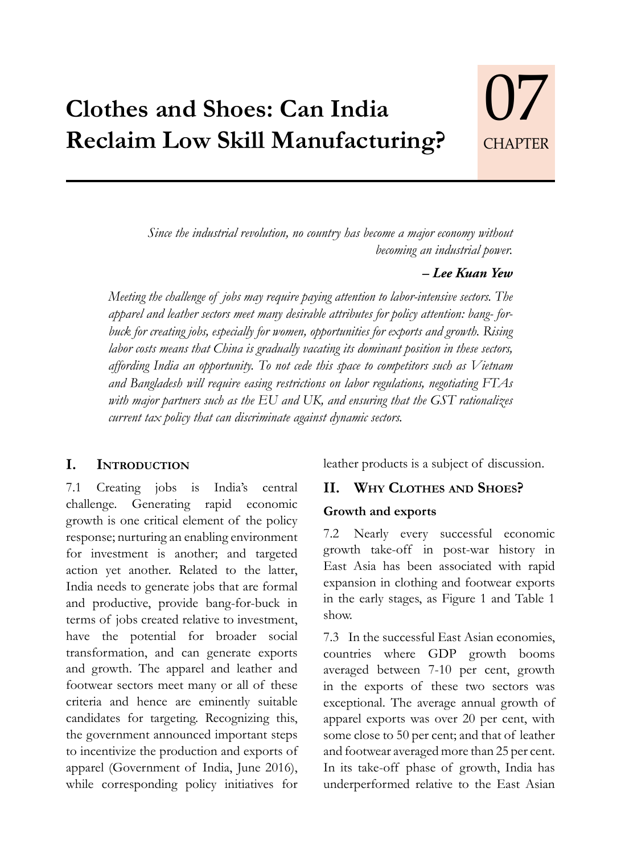# **Clothes and Shoes: Can India Reclaim Low Skill Manufacturing?**

*Since the industrial revolution, no country has become a major economy without becoming an industrial power.*

#### *– Lee Kuan Yew*

**CHAPTER** 

07

*Meeting the challenge of jobs may require paying attention to labor-intensive sectors. The apparel and leather sectors meet many desirable attributes for policy attention: bang- forbuck for creating jobs, especially for women, opportunities for exports and growth. Rising labor costs means that China is gradually vacating its dominant position in these sectors, affording India an opportunity. To not cede this space to competitors such as Vietnam and Bangladesh will require easing restrictions on labor regulations, negotiating FTAs with major partners such as the EU and UK, and ensuring that the GST rationalizes current tax policy that can discriminate against dynamic sectors.* 

#### **I. Introduction**

7.1 Creating jobs is India's central challenge. Generating rapid economic growth is one critical element of the policy response; nurturing an enabling environment for investment is another; and targeted action yet another. Related to the latter, India needs to generate jobs that are formal and productive, provide bang-for-buck in terms of jobs created relative to investment, have the potential for broader social transformation, and can generate exports and growth. The apparel and leather and footwear sectors meet many or all of these criteria and hence are eminently suitable candidates for targeting. Recognizing this, the government announced important steps to incentivize the production and exports of apparel (Government of India, June 2016), while corresponding policy initiatives for

leather products is a subject of discussion.

# **II. Why Clothes and Shoes?**

#### **Growth and exports**

7.2 Nearly every successful economic growth take-off in post-war history in East Asia has been associated with rapid expansion in clothing and footwear exports in the early stages, as Figure 1 and Table 1 show.

7.3 In the successful East Asian economies, countries where GDP growth booms averaged between 7-10 per cent, growth in the exports of these two sectors was exceptional. The average annual growth of apparel exports was over 20 per cent, with some close to 50 per cent; and that of leather and footwear averaged more than 25 per cent. In its take-off phase of growth, India has underperformed relative to the East Asian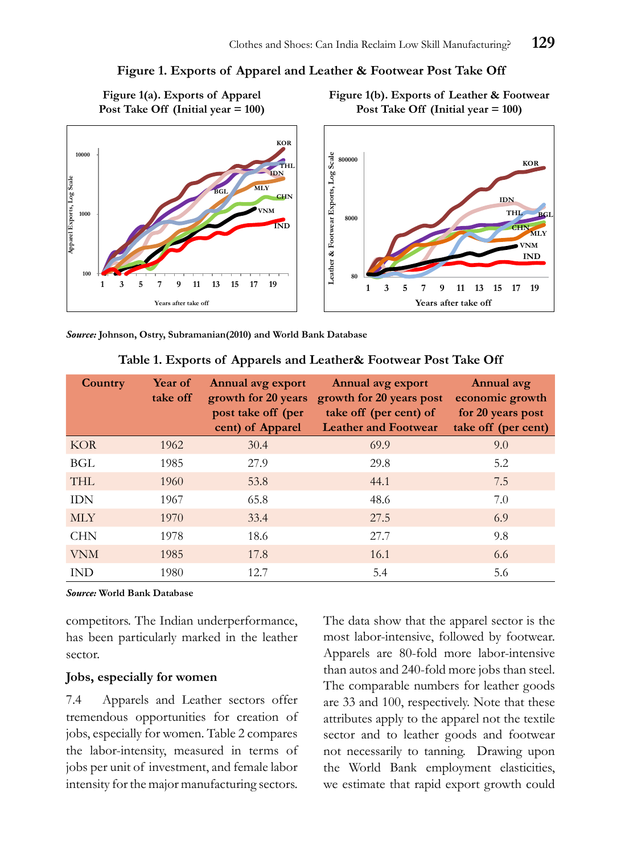#### **Figure 1. Exports of Apparel and Leather & Footwear Post Take Off**



*Source:* **Johnson, Ostry, Subramanian(2010) and World Bank Database**

| Country    | Year of<br>take off | Annual avg export<br>growth for 20 years<br>post take off (per<br>cent) of Apparel | Annual avg export<br>growth for 20 years post<br>take off (per cent) of<br><b>Leather and Footwear</b> | Annual avg<br>economic growth<br>for 20 years post<br>take off (per cent) |
|------------|---------------------|------------------------------------------------------------------------------------|--------------------------------------------------------------------------------------------------------|---------------------------------------------------------------------------|
| <b>KOR</b> | 1962                | 30.4                                                                               | 69.9                                                                                                   | 9.0                                                                       |
| BGL        | 1985                | 27.9                                                                               | 29.8                                                                                                   | 5.2                                                                       |
| <b>THL</b> | 1960                | 53.8                                                                               | 44.1                                                                                                   | 7.5                                                                       |
| <b>IDN</b> | 1967                | 65.8                                                                               | 48.6                                                                                                   | 7.0                                                                       |
| <b>MLY</b> | 1970                | 33.4                                                                               | 27.5                                                                                                   | 6.9                                                                       |
| <b>CHN</b> | 1978                | 18.6                                                                               | 27.7                                                                                                   | 9.8                                                                       |
| <b>VNM</b> | 1985                | 17.8                                                                               | 16.1                                                                                                   | 6.6                                                                       |
| <b>IND</b> | 1980                | 12.7                                                                               | 5.4                                                                                                    | 5.6                                                                       |

#### **Table 1. Exports of Apparels and Leather& Footwear Post Take Off**

*Source:* **World Bank Database**

competitors. The Indian underperformance, has been particularly marked in the leather sector.

#### **Jobs, especially for women**

7.4 Apparels and Leather sectors offer tremendous opportunities for creation of jobs, especially for women. Table 2 compares the labor-intensity, measured in terms of jobs per unit of investment, and female labor intensity for the major manufacturing sectors.

The data show that the apparel sector is the most labor-intensive, followed by footwear. Apparels are 80-fold more labor-intensive than autos and 240-fold more jobs than steel. The comparable numbers for leather goods are 33 and 100, respectively. Note that these attributes apply to the apparel not the textile sector and to leather goods and footwear not necessarily to tanning. Drawing upon the World Bank employment elasticities, we estimate that rapid export growth could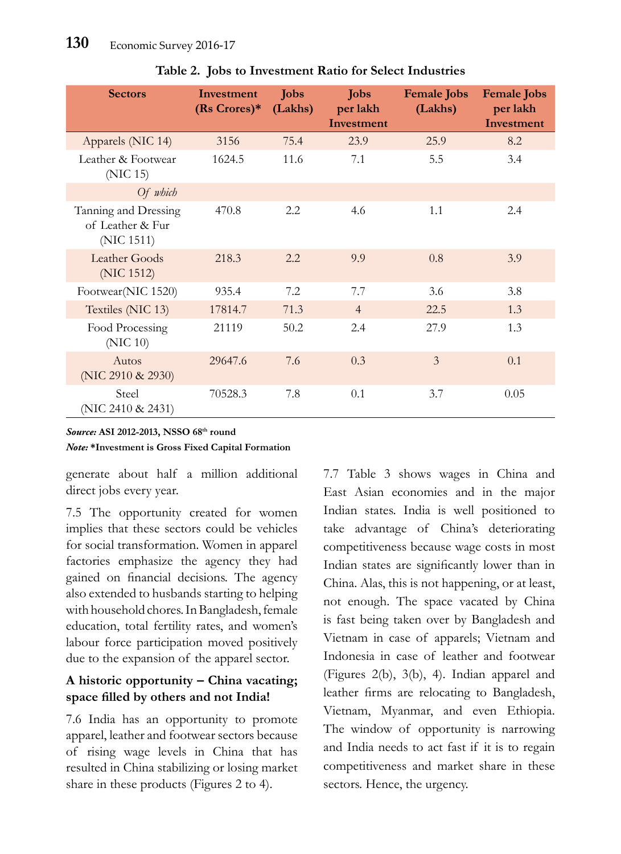| <b>Sectors</b>                                         | Investment<br>$(Rs \text{ Crores})^*$ | <b>Jobs</b><br>(Lakhs) | <b>Jobs</b><br>per lakh<br>Investment | <b>Female Jobs</b><br>(Lakhs) | <b>Female Jobs</b><br>per lakh<br>Investment |
|--------------------------------------------------------|---------------------------------------|------------------------|---------------------------------------|-------------------------------|----------------------------------------------|
| Apparels (NIC 14)                                      | 3156                                  | 75.4                   | 23.9                                  | 25.9                          | 8.2                                          |
| Leather & Footwear<br>(NIC 15)                         | 1624.5                                | 11.6                   | 7.1                                   | 5.5                           | 3.4                                          |
| Of which                                               |                                       |                        |                                       |                               |                                              |
| Tanning and Dressing<br>of Leather & Fur<br>(NIC 1511) | 470.8                                 | 2.2                    | 4.6                                   | 1.1                           | 2.4                                          |
| Leather Goods<br>(NIC 1512)                            | 218.3                                 | 2.2                    | 9.9                                   | 0.8                           | 3.9                                          |
| Footwear(NIC 1520)                                     | 935.4                                 | 7.2                    | 7.7                                   | 3.6                           | 3.8                                          |
| Textiles (NIC 13)                                      | 17814.7                               | 71.3                   | $\overline{4}$                        | 22.5                          | 1.3                                          |
| Food Processing<br>(NIC 10)                            | 21119                                 | 50.2                   | 2.4                                   | 27.9                          | 1.3                                          |
| Autos<br>(NIC 2910 & 2930)                             | 29647.6                               | 7.6                    | 0.3                                   | $\overline{3}$                | 0.1                                          |
| Steel<br>(NIC 2410 & 2431)                             | 70528.3                               | 7.8                    | 0.1                                   | 3.7                           | 0.05                                         |

**Table 2. Jobs to Investment Ratio for Select Industries**

#### *Source:* **ASI 2012-2013, NSSO 68th round**  *Note:* **\*Investment is Gross Fixed Capital Formation**

generate about half a million additional direct jobs every year.

7.5 The opportunity created for women implies that these sectors could be vehicles for social transformation. Women in apparel factories emphasize the agency they had gained on financial decisions. The agency also extended to husbands starting to helping with household chores. In Bangladesh, female education, total fertility rates, and women's labour force participation moved positively due to the expansion of the apparel sector.

## **A historic opportunity – China vacating; space filled by others and not India!**

7.6 India has an opportunity to promote apparel, leather and footwear sectors because of rising wage levels in China that has resulted in China stabilizing or losing market share in these products (Figures 2 to 4).

7.7 Table 3 shows wages in China and East Asian economies and in the major Indian states. India is well positioned to take advantage of China's deteriorating competitiveness because wage costs in most Indian states are significantly lower than in China. Alas, this is not happening, or at least, not enough. The space vacated by China is fast being taken over by Bangladesh and Vietnam in case of apparels; Vietnam and Indonesia in case of leather and footwear (Figures 2(b), 3(b), 4). Indian apparel and leather firms are relocating to Bangladesh, Vietnam, Myanmar, and even Ethiopia. The window of opportunity is narrowing and India needs to act fast if it is to regain competitiveness and market share in these sectors. Hence, the urgency.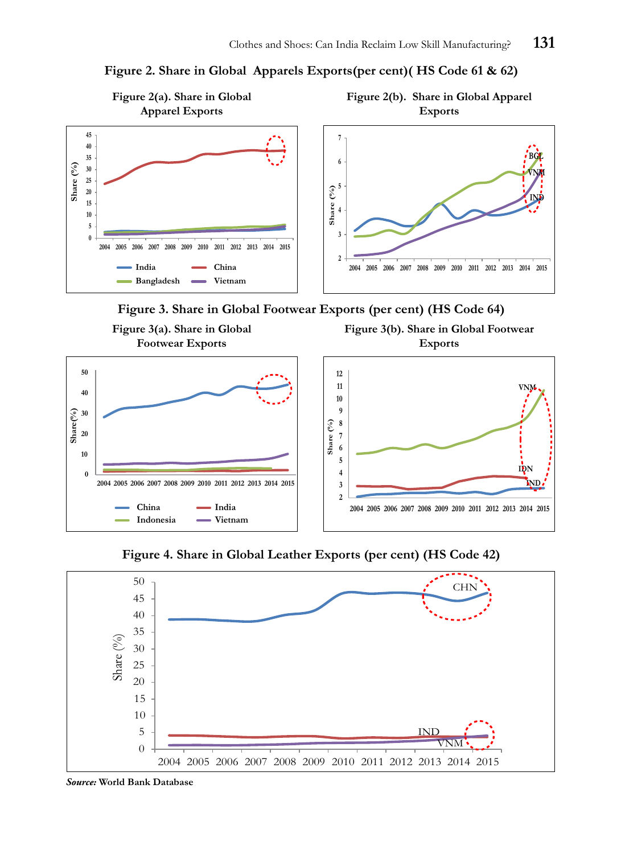



**Figure 3. Share in Global Footwear Exports (per cent) (HS Code 64)**



**Figure 4. Share in Global Leather Exports (per cent) (HS Code 42)**



*Source:* **World Bank Database**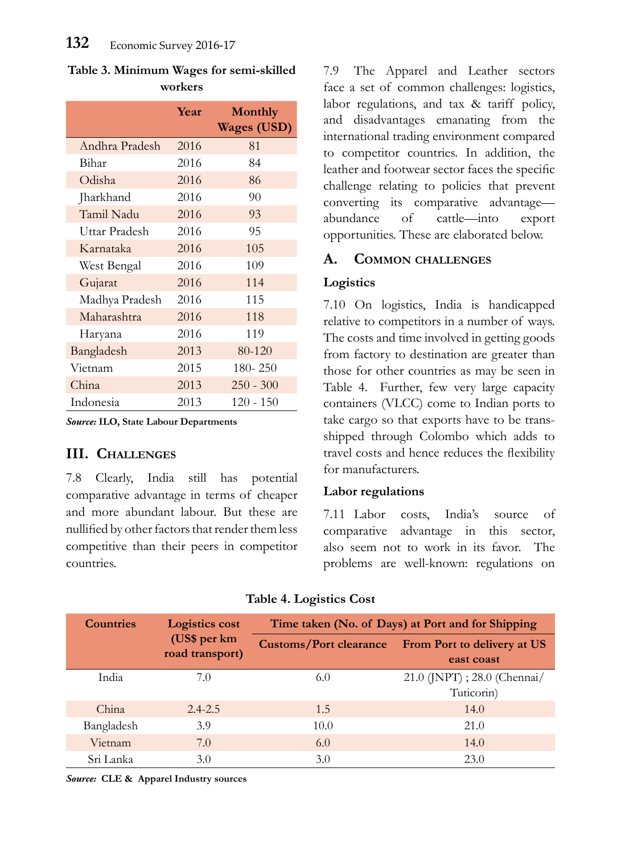|                | Year | <b>Monthly</b><br><b>Wages (USD)</b> |
|----------------|------|--------------------------------------|
| Andhra Pradesh | 2016 | 81                                   |
| Bihar          | 2016 | 84                                   |
| Odisha         | 2016 | 86                                   |
| Jharkhand      | 2016 | 90                                   |
| Tamil Nadu     | 2016 | 93                                   |
| Uttar Pradesh  | 2016 | 95                                   |
| Karnataka      | 2016 | 105                                  |
| West Bengal    | 2016 | 109                                  |
| Gujarat        | 2016 | 114                                  |
| Madhya Pradesh | 2016 | 115                                  |
| Maharashtra    | 2016 | 118                                  |
| Haryana        | 2016 | 119                                  |
| Bangladesh     | 2013 | 80-120                               |
| Vietnam        | 2015 | 180-250                              |
| China          | 2013 | $250 - 300$                          |
| Indonesia      | 2013 | $120 - 150$                          |

**Table 3. Minimum Wages for semi-skilled workers**

*Source:* **ILO, State Labour Departments**

# **III. Challenges**

7.8 Clearly, India still has potential comparative advantage in terms of cheaper and more abundant labour. But these are nullified by other factors that render them less competitive than their peers in competitor countries.

7.9 The Apparel and Leather sectors face a set of common challenges: logistics, labor regulations, and tax & tariff policy, and disadvantages emanating from the international trading environment compared to competitor countries. In addition, the leather and footwear sector faces the specific challenge relating to policies that prevent converting its comparative advantage abundance of cattle—into export opportunities. These are elaborated below.

## **A. Common challenges**

#### **Logistics**

7.10 On logistics, India is handicapped relative to competitors in a number of ways. The costs and time involved in getting goods from factory to destination are greater than those for other countries as may be seen in Table 4. Further, few very large capacity containers (VLCC) come to Indian ports to take cargo so that exports have to be transshipped through Colombo which adds to travel costs and hence reduces the flexibility for manufacturers.

#### **Labor regulations**

7.11 Labor costs, India's source of comparative advantage in this sector, also seem not to work in its favor. The problems are well-known: regulations on

| <b>Countries</b>                | <b>Logistics cost</b> | Time taken (No. of Days) at Port and for Shipping |                                                  |  |  |
|---------------------------------|-----------------------|---------------------------------------------------|--------------------------------------------------|--|--|
| (US\$ per km<br>road transport) |                       | <b>Customs/Port clearance</b>                     | <b>From Port to delivery at US</b><br>east coast |  |  |
| India                           | 7.0                   | 6.0                                               | 21.0 (JNPT) ; 28.0 (Chennai/<br>Tuticorin)       |  |  |
| China                           | $2.4 - 2.5$           | 1.5                                               | 14.0                                             |  |  |
| Bangladesh                      | 3.9                   | 10.0                                              | 21.0                                             |  |  |
| Vietnam                         | 7.0                   | 6.0                                               | 14.0                                             |  |  |
| Sri Lanka                       | 3.0                   | 3.0                                               | 23.0                                             |  |  |

**Table 4. Logistics Cost**

*Source:* **CLE & Apparel Industry sources**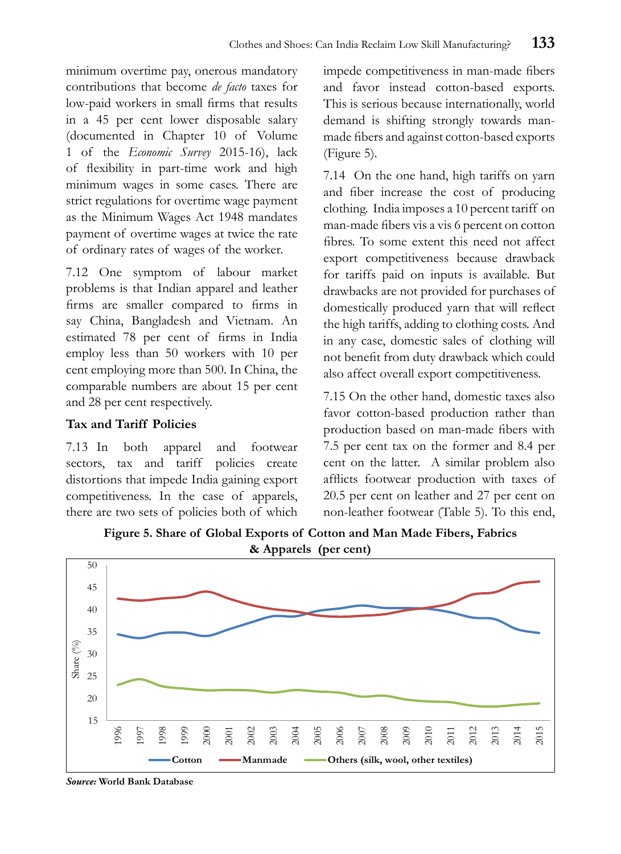minimum overtime pay, onerous mandatory contributions that become *de facto* taxes for low-paid workers in small firms that results in a 45 per cent lower disposable salary (documented in Chapter 10 of Volume 1 of the *Economic Survey* 2015-16), lack of flexibility in part-time work and high minimum wages in some cases. There are strict regulations for overtime wage payment as the Minimum Wages Act 1948 mandates payment of overtime wages at twice the rate of ordinary rates of wages of the worker.

7.12 One symptom of labour market problems is that Indian apparel and leather firms are smaller compared to firms in say China, Bangladesh and Vietnam. An estimated 78 per cent of firms in India employ less than 50 workers with 10 per cent employing more than 500. In China, the comparable numbers are about 15 per cent and 28 per cent respectively.

# **Tax and Tariff Policies**

7.13 In both apparel and footwear sectors, tax and tariff policies create distortions that impede India gaining export competitiveness. In the case of apparels, there are two sets of policies both of which impede competitiveness in man-made fibers and favor instead cotton-based exports. This is serious because internationally, world demand is shifting strongly towards manmade fibers and against cotton-based exports (Figure 5).

7.14 On the one hand, high tariffs on yarn and fiber increase the cost of producing clothing. India imposes a 10 percent tariff on man-made fibers vis a vis 6 percent on cotton fibres. To some extent this need not affect export competitiveness because drawback for tariffs paid on inputs is available. But drawbacks are not provided for purchases of domestically produced yarn that will reflect the high tariffs, adding to clothing costs. And in any case, domestic sales of clothing will not benefit from duty drawback which could also affect overall export competitiveness.

7.15 On the other hand, domestic taxes also favor cotton-based production rather than production based on man-made fibers with 7.5 per cent tax on the former and 8.4 per cent on the latter. A similar problem also afflicts footwear production with taxes of 20.5 per cent on leather and 27 per cent on non-leather footwear (Table 5). To this end,

**Figure 5. Share of Global Exports of Cotton and Man Made Fibers, Fabrics & Apparels (per cent)**



*Source:* **World Bank Database**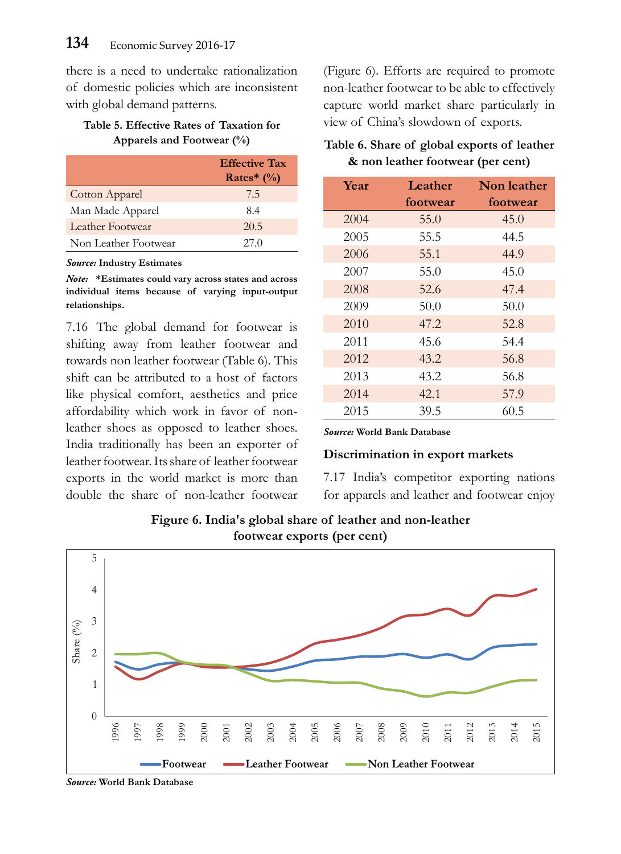there is a need to undertake rationalization of domestic policies which are inconsistent with global demand patterns.

#### **Table 5. Effective Rates of Taxation for Apparels and Footwear (%)**

|                       | <b>Effective Tax</b> |
|-----------------------|----------------------|
|                       | Rates* $(\%)$        |
| <b>Cotton Apparel</b> | 7.5                  |
| Man Made Apparel      | 8.4                  |
| Leather Footwear      | 20.5                 |
| Non Leather Footwear  | 27 Q                 |

*Source:* **Industry Estimates**

*Note:* **\*Estimates could vary across states and across individual items because of varying input-output relationships.**

7.16 The global demand for footwear is shifting away from leather footwear and towards non leather footwear (Table 6). This shift can be attributed to a host of factors like physical comfort, aesthetics and price affordability which work in favor of nonleather shoes as opposed to leather shoes. India traditionally has been an exporter of leather footwear. Its share of leather footwear exports in the world market is more than double the share of non-leather footwear

(Figure 6). Efforts are required to promote non-leather footwear to be able to effectively capture world market share particularly in view of China's slowdown of exports.

#### **Table 6. Share of global exports of leather & non leather footwear (per cent)**

| <b>Year</b> | Leather  | Non leather |
|-------------|----------|-------------|
|             | footwear | footwear    |
| 2004        | 55.0     | 45.0        |
| 2005        | 55.5     | 44.5        |
| 2006        | 55.1     | 44.9        |
| 2007        | 55.0     | 45.0        |
| 2008        | 52.6     | 47.4        |
| 2009        | 50.0     | 50.0        |
| 2010        | 47.2     | 52.8        |
| 2011        | 45.6     | 54.4        |
| 2012        | 43.2     | 56.8        |
| 2013        | 43.2     | 56.8        |
| 2014        | 42.1     | 57.9        |
| 2015        | 39.5     | 60.5        |

*Source:* **World Bank Database**

#### **Discrimination in export markets**

7.17 India's competitor exporting nations for apparels and leather and footwear enjoy



**Figure 6. India's global share of leather and non-leather footwear exports (per cent)**

*Source:* **World Bank Database**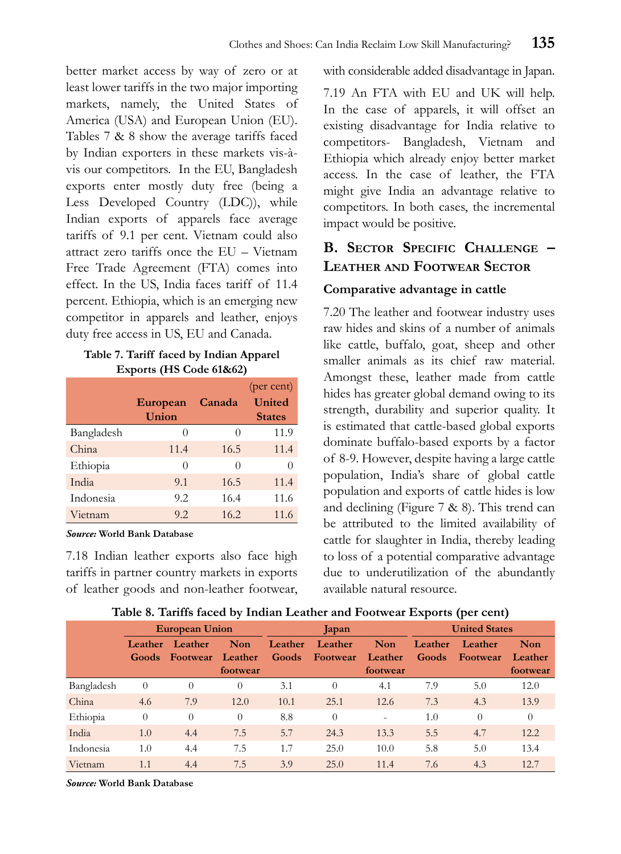better market access by way of zero or at least lower tariffs in the two major importing markets, namely, the United States of America (USA) and European Union (EU). Tables 7 & 8 show the average tariffs faced by Indian exporters in these markets vis-àvis our competitors. In the EU, Bangladesh exports enter mostly duty free (being a Less Developed Country (LDC)), while Indian exports of apparels face average tariffs of 9.1 per cent. Vietnam could also attract zero tariffs once the EU – Vietnam Free Trade Agreement (FTA) comes into effect. In the US, India faces tariff of 11.4 percent. Ethiopia, which is an emerging new competitor in apparels and leather, enjoys duty free access in US, EU and Canada.

#### **Table 7. Tariff faced by Indian Apparel Exports (HS Code 61&62)**

|            | European | Canada   | (per cent)<br>United |
|------------|----------|----------|----------------------|
|            | Union    |          | <b>States</b>        |
| Bangladesh | $\theta$ | $\Omega$ | 11.9                 |
| China      | 11.4     | 16.5     | 11.4                 |
| Ethiopia   | 0        | $\Omega$ | 0                    |
| India      | 9.1      | 16.5     | 11.4                 |
| Indonesia  | 9.2      | 16.4     | 11.6                 |
| Vietnam    | 9.2      | 16.2     | 11.6                 |

*Source:* **World Bank Database**

7.18 Indian leather exports also face high tariffs in partner country markets in exports of leather goods and non-leather footwear, with considerable added disadvantage in Japan.

7.19 An FTA with EU and UK will help. In the case of apparels, it will offset an existing disadvantage for India relative to competitors- Bangladesh, Vietnam and Ethiopia which already enjoy better market access. In the case of leather, the FTA might give India an advantage relative to competitors. In both cases, the incremental impact would be positive.

# **B. Sector Specific Challenge – Leather and Footwear Sector**

# **Comparative advantage in cattle**

7.20 The leather and footwear industry uses raw hides and skins of a number of animals like cattle, buffalo, goat, sheep and other smaller animals as its chief raw material. Amongst these, leather made from cattle hides has greater global demand owing to its strength, durability and superior quality. It is estimated that cattle-based global exports dominate buffalo-based exports by a factor of 8-9. However, despite having a large cattle population, India's share of global cattle population and exports of cattle hides is low and declining (Figure 7 & 8). This trend can be attributed to the limited availability of cattle for slaughter in India, thereby leading to loss of a potential comparative advantage due to underutilization of the abundantly available natural resource.

|            | <b>European Union</b>   |                            |                            | Japan            |                     |                                   | <b>United States</b> |                            |                                   |
|------------|-------------------------|----------------------------|----------------------------|------------------|---------------------|-----------------------------------|----------------------|----------------------------|-----------------------------------|
|            | Leather<br><b>Goods</b> | Leather<br><b>Footwear</b> | Non<br>Leather<br>footwear | Leather<br>Goods | Leather<br>Footwear | <b>Non</b><br>Leather<br>footwear | Leather<br>Goods     | Leather<br><b>Footwear</b> | <b>Non</b><br>Leather<br>footwear |
| Bangladesh | 0                       | 0                          | $\theta$                   | 3.1              | $\Omega$            | 4.1                               | 7.9                  | 5.0                        | 12.0                              |
| China      | 4.6                     | 7.9                        | 12.0                       | 10.1             | 25.1                | 12.6                              | 7.3                  | 4.3                        | 13.9                              |
| Ethiopia   | $\theta$                | 0                          | $\theta$                   | 8.8              | $\Omega$            | $\qquad \qquad \blacksquare$      | 1.0                  | 0                          | $\theta$                          |
| India      | 1.0                     | 4.4                        | 7.5                        | 5.7              | 24.3                | 13.3                              | 5.5                  | 4.7                        | 12.2                              |
| Indonesia  | 1.0                     | 4.4                        | 7.5                        | 1.7              | 25.0                | 10.0                              | 5.8                  | 5.0                        | 13.4                              |
| Vietnam    | 1.1                     | 4.4                        | 7.5                        | 3.9              | 25.0                | 11.4                              | 7.6                  | 4.3                        | 12.7                              |

#### **Table 8. Tariffs faced by Indian Leather and Footwear Exports (per cent)**

*Source:* **World Bank Database**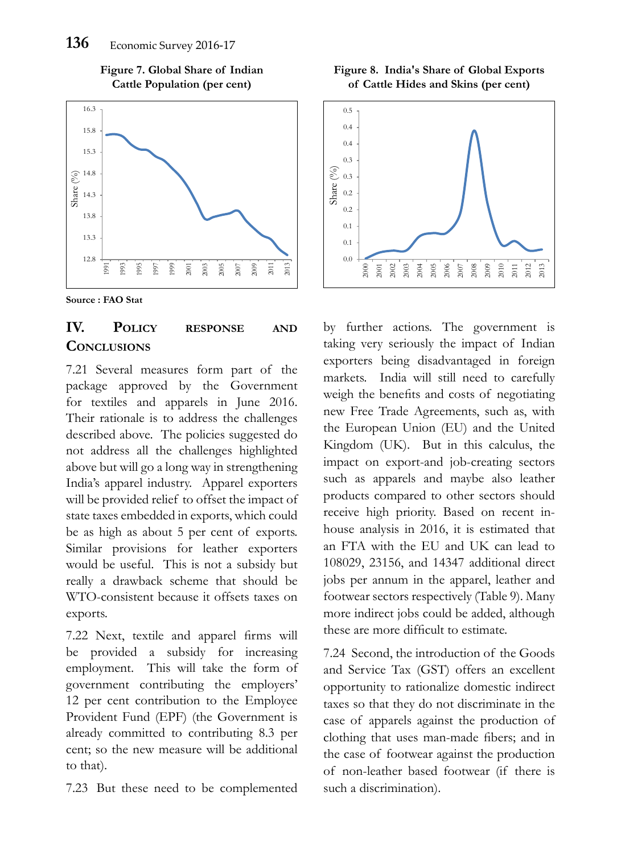





# **IV. Policy response and Conclusions**

7.21 Several measures form part of the package approved by the Government for textiles and apparels in June 2016. Their rationale is to address the challenges described above. The policies suggested do not address all the challenges highlighted above but will go a long way in strengthening India's apparel industry. Apparel exporters will be provided relief to offset the impact of state taxes embedded in exports, which could be as high as about 5 per cent of exports. Similar provisions for leather exporters would be useful. This is not a subsidy but really a drawback scheme that should be WTO-consistent because it offsets taxes on exports.

7.22 Next, textile and apparel firms will be provided a subsidy for increasing employment. This will take the form of government contributing the employers' 12 per cent contribution to the Employee Provident Fund (EPF) (the Government is already committed to contributing 8.3 per cent; so the new measure will be additional to that).

7.23 But these need to be complemented

**Figure 8. India's Share of Global Exports of Cattle Hides and Skins (per cent)**



by further actions. The government is taking very seriously the impact of Indian exporters being disadvantaged in foreign markets. India will still need to carefully weigh the benefits and costs of negotiating new Free Trade Agreements, such as, with the European Union (EU) and the United Kingdom (UK). But in this calculus, the impact on export-and job-creating sectors such as apparels and maybe also leather products compared to other sectors should receive high priority. Based on recent inhouse analysis in 2016, it is estimated that an FTA with the EU and UK can lead to 108029, 23156, and 14347 additional direct jobs per annum in the apparel, leather and footwear sectors respectively (Table 9). Many more indirect jobs could be added, although these are more difficult to estimate.

7.24 Second, the introduction of the Goods and Service Tax (GST) offers an excellent opportunity to rationalize domestic indirect taxes so that they do not discriminate in the case of apparels against the production of clothing that uses man-made fibers; and in the case of footwear against the production of non-leather based footwear (if there is such a discrimination).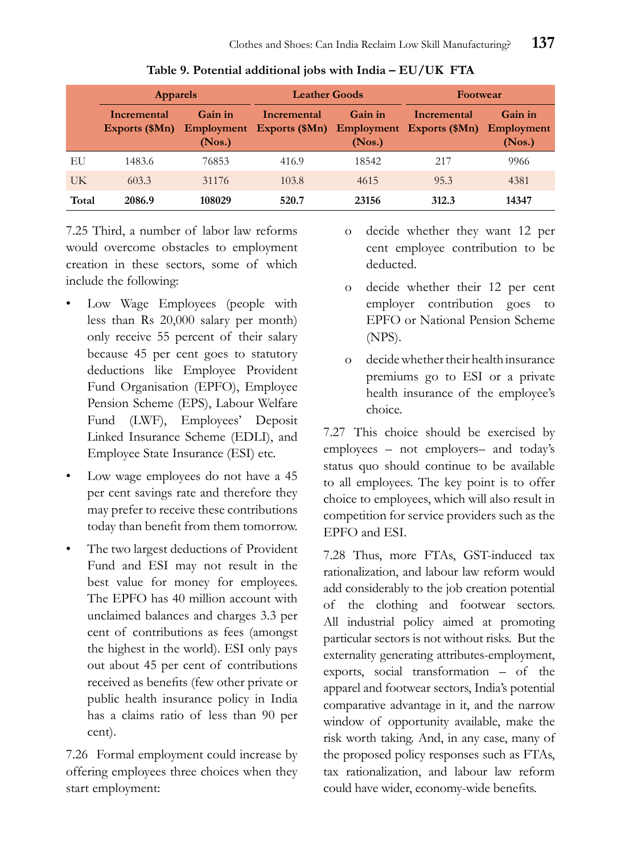|       | <b>Apparels</b>               |                   | <b>Leather Goods</b>                                               |                   | <b>Footwear</b> |                                 |  |
|-------|-------------------------------|-------------------|--------------------------------------------------------------------|-------------------|-----------------|---------------------------------|--|
|       | Incremental<br>Exports (\$Mn) | Gain in<br>(Nos.) | Incremental<br>Employment Exports (\$Mn) Employment Exports (\$Mn) | Gain in<br>(Nos.) | Incremental     | Gain in<br>Employment<br>(Nos.) |  |
| EU    | 1483.6                        | 76853             | 416.9                                                              | 18542             | 217             | 9966                            |  |
| UK    | 603.3                         | 31176             | 103.8                                                              | 4615              | 95.3            | 4381                            |  |
| Total | 2086.9                        | 108029            | 520.7                                                              | 23156             | 312.3           | 14347                           |  |

**Table 9. Potential additional jobs with India – EU/UK FTA**

7.25 Third, a number of labor law reforms would overcome obstacles to employment creation in these sectors, some of which include the following:

- Low Wage Employees (people with less than Rs 20,000 salary per month) only receive 55 percent of their salary because 45 per cent goes to statutory deductions like Employee Provident Fund Organisation (EPFO), Employee Pension Scheme (EPS), Labour Welfare Fund (LWF), Employees' Deposit Linked Insurance Scheme (EDLI), and Employee State Insurance (ESI) etc.
- Low wage employees do not have a 45 per cent savings rate and therefore they may prefer to receive these contributions today than benefit from them tomorrow.
- The two largest deductions of Provident Fund and ESI may not result in the best value for money for employees. The EPFO has 40 million account with unclaimed balances and charges 3.3 per cent of contributions as fees (amongst the highest in the world). ESI only pays out about 45 per cent of contributions received as benefits (few other private or public health insurance policy in India has a claims ratio of less than 90 per cent).

7.26 Formal employment could increase by offering employees three choices when they start employment:

- o decide whether they want 12 per cent employee contribution to be deducted.
- o decide whether their 12 per cent employer contribution goes to EPFO or National Pension Scheme (NPS).
- o decide whether their health insurance premiums go to ESI or a private health insurance of the employee's choice.

7.27 This choice should be exercised by employees – not employers– and today's status quo should continue to be available to all employees. The key point is to offer choice to employees, which will also result in competition for service providers such as the EPFO and ESI.

7.28 Thus, more FTAs, GST-induced tax rationalization, and labour law reform would add considerably to the job creation potential of the clothing and footwear sectors. All industrial policy aimed at promoting particular sectors is not without risks. But the externality generating attributes-employment, exports, social transformation – of the apparel and footwear sectors, India's potential comparative advantage in it, and the narrow window of opportunity available, make the risk worth taking. And, in any case, many of the proposed policy responses such as FTAs, tax rationalization, and labour law reform could have wider, economy-wide benefits.